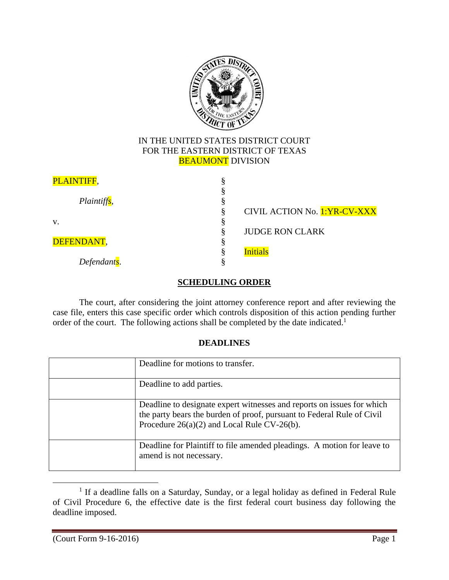

## IN THE UNITED STATES DISTRICT COURT FOR THE EASTERN DISTRICT OF TEXAS **BEAUMONT** DIVISION

| PLAINTIFF,               |                              |
|--------------------------|------------------------------|
|                          |                              |
| Plaintiff <sub>s</sub> , |                              |
|                          | CIVIL ACTION No. 1:YR-CV-XXX |
| V.                       |                              |
|                          | <b>JUDGE RON CLARK</b>       |
| DEFENDANT,               |                              |
|                          | <b>Initials</b>              |
| Defendant <sub>s</sub> . |                              |

# **SCHEDULING ORDER**

The court, after considering the joint attorney conference report and after reviewing the case file, enters this case specific order which controls disposition of this action pending further order of the court. The following actions shall be completed by the date indicated.<sup>1</sup>

## **DEADLINES**

| Deadline for motions to transfer.                                                                                                                                                                 |
|---------------------------------------------------------------------------------------------------------------------------------------------------------------------------------------------------|
| Deadline to add parties.                                                                                                                                                                          |
| Deadline to designate expert witnesses and reports on issues for which<br>the party bears the burden of proof, pursuant to Federal Rule of Civil<br>Procedure $26(a)(2)$ and Local Rule CV-26(b). |
| Deadline for Plaintiff to file amended pleadings. A motion for leave to<br>amend is not necessary.                                                                                                |

<sup>&</sup>lt;sup>1</sup> If a deadline falls on a Saturday, Sunday, or a legal holiday as defined in Federal Rule of Civil Procedure 6, the effective date is the first federal court business day following the deadline imposed.

 $\overline{a}$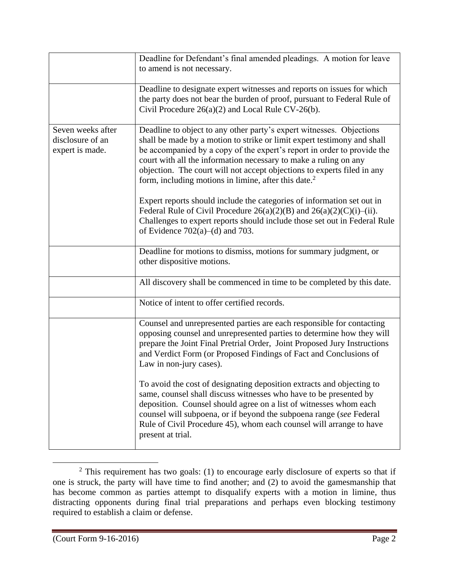|                                                          | Deadline for Defendant's final amended pleadings. A motion for leave<br>to amend is not necessary.                                                                                                                                                                                                                                                                                                                                            |
|----------------------------------------------------------|-----------------------------------------------------------------------------------------------------------------------------------------------------------------------------------------------------------------------------------------------------------------------------------------------------------------------------------------------------------------------------------------------------------------------------------------------|
|                                                          | Deadline to designate expert witnesses and reports on issues for which<br>the party does not bear the burden of proof, pursuant to Federal Rule of<br>Civil Procedure $26(a)(2)$ and Local Rule CV-26(b).                                                                                                                                                                                                                                     |
| Seven weeks after<br>disclosure of an<br>expert is made. | Deadline to object to any other party's expert witnesses. Objections<br>shall be made by a motion to strike or limit expert testimony and shall<br>be accompanied by a copy of the expert's report in order to provide the<br>court with all the information necessary to make a ruling on any<br>objection. The court will not accept objections to experts filed in any<br>form, including motions in limine, after this date. <sup>2</sup> |
|                                                          | Expert reports should include the categories of information set out in<br>Federal Rule of Civil Procedure $26(a)(2)(B)$ and $26(a)(2)(C)(i)$ –(ii).<br>Challenges to expert reports should include those set out in Federal Rule<br>of Evidence $702(a)$ –(d) and 703.                                                                                                                                                                        |
|                                                          | Deadline for motions to dismiss, motions for summary judgment, or<br>other dispositive motions.                                                                                                                                                                                                                                                                                                                                               |
|                                                          | All discovery shall be commenced in time to be completed by this date.                                                                                                                                                                                                                                                                                                                                                                        |
|                                                          | Notice of intent to offer certified records.                                                                                                                                                                                                                                                                                                                                                                                                  |
|                                                          | Counsel and unrepresented parties are each responsible for contacting<br>opposing counsel and unrepresented parties to determine how they will<br>prepare the Joint Final Pretrial Order, Joint Proposed Jury Instructions<br>and Verdict Form (or Proposed Findings of Fact and Conclusions of<br>Law in non-jury cases).                                                                                                                    |
|                                                          | To avoid the cost of designating deposition extracts and objecting to<br>same, counsel shall discuss witnesses who have to be presented by<br>deposition. Counsel should agree on a list of witnesses whom each<br>counsel will subpoena, or if beyond the subpoena range (see Federal<br>Rule of Civil Procedure 45), whom each counsel will arrange to have<br>present at trial.                                                            |

 $\overline{a}$  $2$  This requirement has two goals: (1) to encourage early disclosure of experts so that if one is struck, the party will have time to find another; and (2) to avoid the gamesmanship that has become common as parties attempt to disqualify experts with a motion in limine, thus distracting opponents during final trial preparations and perhaps even blocking testimony required to establish a claim or defense.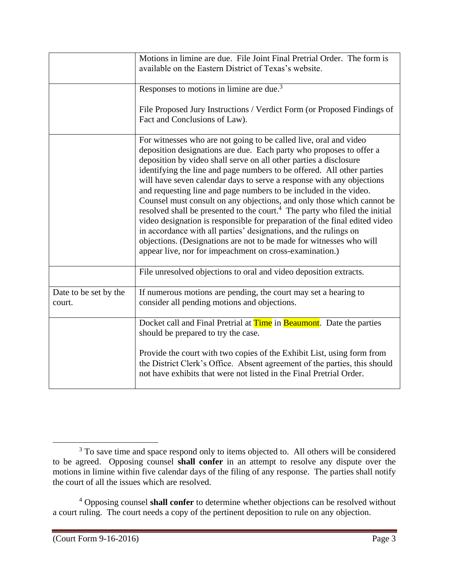|                                 | Motions in limine are due. File Joint Final Pretrial Order. The form is<br>available on the Eastern District of Texas's website.                                                                                                                                                                                                                                                                                                                                                                                                                                                                                                                                                                                                                                                                                                                                                              |
|---------------------------------|-----------------------------------------------------------------------------------------------------------------------------------------------------------------------------------------------------------------------------------------------------------------------------------------------------------------------------------------------------------------------------------------------------------------------------------------------------------------------------------------------------------------------------------------------------------------------------------------------------------------------------------------------------------------------------------------------------------------------------------------------------------------------------------------------------------------------------------------------------------------------------------------------|
|                                 | Responses to motions in limine are due. <sup>3</sup>                                                                                                                                                                                                                                                                                                                                                                                                                                                                                                                                                                                                                                                                                                                                                                                                                                          |
|                                 | File Proposed Jury Instructions / Verdict Form (or Proposed Findings of<br>Fact and Conclusions of Law).                                                                                                                                                                                                                                                                                                                                                                                                                                                                                                                                                                                                                                                                                                                                                                                      |
|                                 | For witnesses who are not going to be called live, oral and video<br>deposition designations are due. Each party who proposes to offer a<br>deposition by video shall serve on all other parties a disclosure<br>identifying the line and page numbers to be offered. All other parties<br>will have seven calendar days to serve a response with any objections<br>and requesting line and page numbers to be included in the video.<br>Counsel must consult on any objections, and only those which cannot be<br>resolved shall be presented to the court. <sup>4</sup> The party who filed the initial<br>video designation is responsible for preparation of the final edited video<br>in accordance with all parties' designations, and the rulings on<br>objections. (Designations are not to be made for witnesses who will<br>appear live, nor for impeachment on cross-examination.) |
|                                 | File unresolved objections to oral and video deposition extracts.                                                                                                                                                                                                                                                                                                                                                                                                                                                                                                                                                                                                                                                                                                                                                                                                                             |
| Date to be set by the<br>court. | If numerous motions are pending, the court may set a hearing to<br>consider all pending motions and objections.                                                                                                                                                                                                                                                                                                                                                                                                                                                                                                                                                                                                                                                                                                                                                                               |
|                                 | Docket call and Final Pretrial at <b>Time</b> in <b>Beaumont</b> . Date the parties<br>should be prepared to try the case.                                                                                                                                                                                                                                                                                                                                                                                                                                                                                                                                                                                                                                                                                                                                                                    |
|                                 | Provide the court with two copies of the Exhibit List, using form from<br>the District Clerk's Office. Absent agreement of the parties, this should<br>not have exhibits that were not listed in the Final Pretrial Order.                                                                                                                                                                                                                                                                                                                                                                                                                                                                                                                                                                                                                                                                    |

 $\overline{a}$ <sup>3</sup> To save time and space respond only to items objected to. All others will be considered to be agreed. Opposing counsel **shall confer** in an attempt to resolve any dispute over the motions in limine within five calendar days of the filing of any response. The parties shall notify the court of all the issues which are resolved.

<sup>4</sup> Opposing counsel **shall confer** to determine whether objections can be resolved without a court ruling. The court needs a copy of the pertinent deposition to rule on any objection.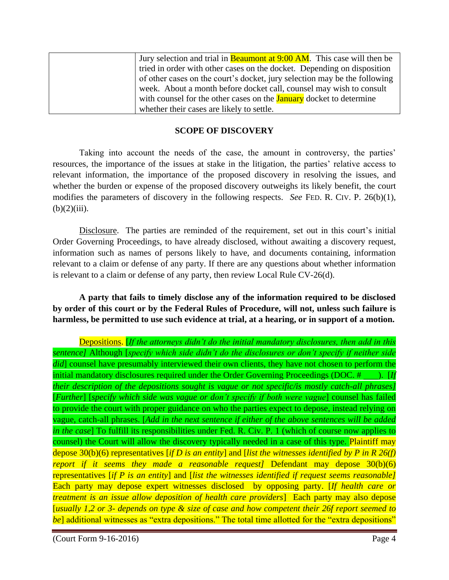| Jury selection and trial in <b>Beaumont at 9:00 AM</b> . This case will then be |
|---------------------------------------------------------------------------------|
| tried in order with other cases on the docket. Depending on disposition         |
| of other cases on the court's docket, jury selection may be the following       |
| week. About a month before docket call, counsel may wish to consult             |
| with counsel for the other cases on the <b>January</b> docket to determine      |
| whether their cases are likely to settle.                                       |

## **SCOPE OF DISCOVERY**

Taking into account the needs of the case, the amount in controversy, the parties' resources, the importance of the issues at stake in the litigation, the parties' relative access to relevant information, the importance of the proposed discovery in resolving the issues, and whether the burden or expense of the proposed discovery outweighs its likely benefit, the court modifies the parameters of discovery in the following respects. *See* FED. R. CIV. P. 26(b)(1),  $(b)(2)(iii)$ .

Disclosure. The parties are reminded of the requirement, set out in this court's initial Order Governing Proceedings, to have already disclosed, without awaiting a discovery request, information such as names of persons likely to have, and documents containing, information relevant to a claim or defense of any party. If there are any questions about whether information is relevant to a claim or defense of any party, then review Local Rule CV-26(d).

**A party that fails to timely disclose any of the information required to be disclosed by order of this court or by the Federal Rules of Procedure, will not, unless such failure is harmless, be permitted to use such evidence at trial, at a hearing, or in support of a motion.**

Depositions. [*If the attorneys didn't do the initial mandatory disclosures, then add in this sentence]* Although [*specify which side didn't do the disclosures or don't specify if neither side did*] counsel have presumably interviewed their own clients, they have not chosen to perform the initial mandatory disclosures required under the Order Governing Proceedings (DOC. # <sub>11</sub>). [*If their description of the depositions sought is vague or not specific/is mostly catch-all phrases]* [*Further*] [*specify which side was vague or don't specify if both were vague*] counsel has failed to provide the court with proper guidance on who the parties expect to depose, instead relying on vague, catch-all phrases. [*Add in the next sentence if either of the above sentences will be added in the case*] To fulfill its responsibilities under Fed. R. Civ. P. 1 (which of course now applies to counsel) the Court will allow the discovery typically needed in a case of this type. Plaintiff may depose 30(b)(6) representatives [*if D is an entity*] and [*list the witnesses identified by P in R 26(f) report if it seems they made a reasonable request]* Defendant may depose 30(b)(6) representatives [*if P is an entity*] and [*list the witnesses identified if request seems reasonable]*  Each party may depose expert witnesses disclosed by opposing party. [*If health care or treatment is an issue allow deposition of health care providers*] Each party may also depose [*usually 1,2 or 3- depends on type & size of case and how competent their 26f report seemed to be*] additional witnesses as "extra depositions." The total time allotted for the "extra depositions"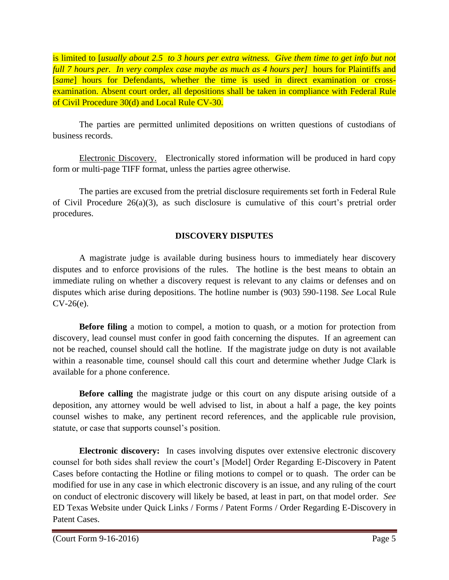is limited to [*usually about 2.5 to 3 hours per extra witness. Give them time to get info but not full 7 hours per. In very complex case maybe as much as 4 hours per]* hours for Plaintiffs and [*same*] hours for Defendants, whether the time is used in direct examination or crossexamination. Absent court order, all depositions shall be taken in compliance with Federal Rule of Civil Procedure 30(d) and Local Rule CV-30.

The parties are permitted unlimited depositions on written questions of custodians of business records.

Electronic Discovery. Electronically stored information will be produced in hard copy form or multi-page TIFF format, unless the parties agree otherwise.

The parties are excused from the pretrial disclosure requirements set forth in Federal Rule of Civil Procedure  $26(a)(3)$ , as such disclosure is cumulative of this court's pretrial order procedures.

# **DISCOVERY DISPUTES**

A magistrate judge is available during business hours to immediately hear discovery disputes and to enforce provisions of the rules. The hotline is the best means to obtain an immediate ruling on whether a discovery request is relevant to any claims or defenses and on disputes which arise during depositions. The hotline number is (903) 590-1198. *See* Local Rule CV-26(e).

**Before filing** a motion to compel, a motion to quash, or a motion for protection from discovery, lead counsel must confer in good faith concerning the disputes. If an agreement can not be reached, counsel should call the hotline. If the magistrate judge on duty is not available within a reasonable time, counsel should call this court and determine whether Judge Clark is available for a phone conference.

**Before calling** the magistrate judge or this court on any dispute arising outside of a deposition, any attorney would be well advised to list, in about a half a page, the key points counsel wishes to make, any pertinent record references, and the applicable rule provision, statute, or case that supports counsel's position.

**Electronic discovery:** In cases involving disputes over extensive electronic discovery counsel for both sides shall review the court's [Model] Order Regarding E-Discovery in Patent Cases before contacting the Hotline or filing motions to compel or to quash. The order can be modified for use in any case in which electronic discovery is an issue, and any ruling of the court on conduct of electronic discovery will likely be based, at least in part, on that model order. *See*  ED Texas Website under Quick Links / Forms / Patent Forms / Order Regarding E-Discovery in Patent Cases.